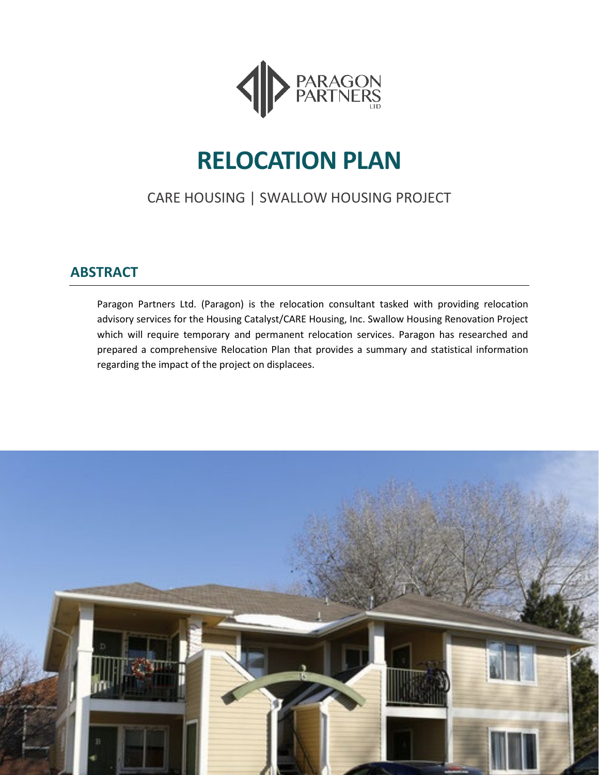

# **RELOCATION PLAN**

# CARE HOUSING | SWALLOW HOUSING PROJECT

# <span id="page-0-0"></span>**ABSTRACT**

Paragon Partners Ltd. (Paragon) is the relocation consultant tasked with providing relocation advisory services for the Housing Catalyst/CARE Housing, Inc. Swallow Housing Renovation Project which will require temporary and permanent relocation services. Paragon has researched and prepared a comprehensive Relocation Plan that provides a summary and statistical information regarding the impact of the project on displacees.

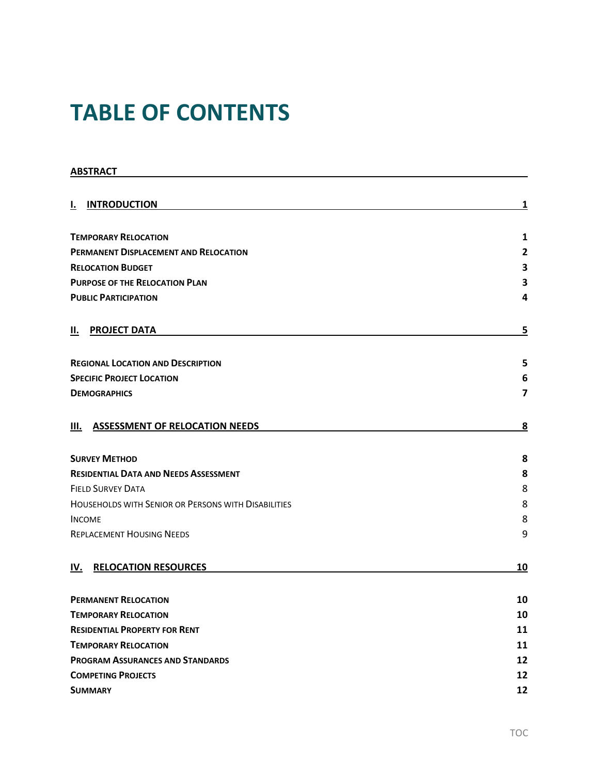# **TABLE OF CONTENTS**

| <b>ABSTRACT</b>                                     |                         |  |  |
|-----------------------------------------------------|-------------------------|--|--|
|                                                     |                         |  |  |
| <b>INTRODUCTION</b><br>I.                           | 1                       |  |  |
| <b>TEMPORARY RELOCATION</b>                         | 1                       |  |  |
| PERMANENT DISPLACEMENT AND RELOCATION               | $\overline{2}$          |  |  |
| <b>RELOCATION BUDGET</b>                            | 3                       |  |  |
| <b>PURPOSE OF THE RELOCATION PLAN</b>               | 3                       |  |  |
| <b>PUBLIC PARTICIPATION</b>                         | 4                       |  |  |
| <b>PROJECT DATA</b><br>н.                           | 5                       |  |  |
| <b>REGIONAL LOCATION AND DESCRIPTION</b>            | 5                       |  |  |
| <b>SPECIFIC PROJECT LOCATION</b>                    | 6                       |  |  |
| <b>DEMOGRAPHICS</b>                                 | $\overline{\mathbf{z}}$ |  |  |
| <b>ASSESSMENT OF RELOCATION NEEDS</b><br>Ш.         | 8                       |  |  |
| <b>SURVEY METHOD</b>                                | 8                       |  |  |
| <b>RESIDENTIAL DATA AND NEEDS ASSESSMENT</b>        | 8                       |  |  |
| <b>FIELD SURVEY DATA</b>                            | 8                       |  |  |
| HOUSEHOLDS WITH SENIOR OR PERSONS WITH DISABILITIES | 8                       |  |  |
| <b>INCOME</b>                                       | 8                       |  |  |
| <b>REPLACEMENT HOUSING NEEDS</b>                    | 9                       |  |  |
| <b>RELOCATION RESOURCES</b><br>IV.                  | 10                      |  |  |
| <b>PERMANENT RELOCATION</b>                         | 10                      |  |  |
| <b>TEMPORARY RELOCATION</b>                         |                         |  |  |
| <b>RESIDENTIAL PROPERTY FOR RENT</b>                | 11                      |  |  |
| <b>TEMPORARY RELOCATION</b>                         | 11                      |  |  |
| <b>PROGRAM ASSURANCES AND STANDARDS</b>             | 12                      |  |  |
| <b>COMPETING PROJECTS</b>                           | 12                      |  |  |
| <b>SUMMARY</b>                                      | 12                      |  |  |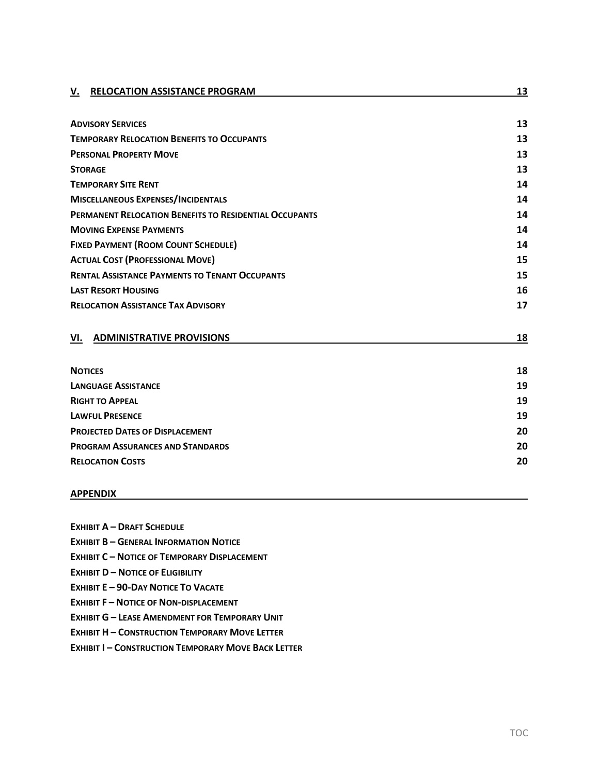| <b>RELOCATION ASSISTANCE PROGRAM</b><br>V.             | 13 |
|--------------------------------------------------------|----|
|                                                        |    |
| <b>ADVISORY SERVICES</b>                               | 13 |
| <b>TEMPORARY RELOCATION BENEFITS TO OCCUPANTS</b>      | 13 |
| <b>PERSONAL PROPERTY MOVE</b>                          | 13 |
| <b>STORAGE</b>                                         | 13 |
| <b>TEMPORARY SITE RENT</b>                             | 14 |
| <b>MISCELLANEOUS EXPENSES/INCIDENTALS</b>              | 14 |
| PERMANENT RELOCATION BENEFITS TO RESIDENTIAL OCCUPANTS | 14 |
| <b>MOVING EXPENSE PAYMENTS</b>                         | 14 |
| <b>FIXED PAYMENT (ROOM COUNT SCHEDULE)</b>             | 14 |
| <b>ACTUAL COST (PROFESSIONAL MOVE)</b>                 | 15 |
| <b>RENTAL ASSISTANCE PAYMENTS TO TENANT OCCUPANTS</b>  | 15 |
| <b>LAST RESORT HOUSING</b>                             | 16 |
| <b>RELOCATION ASSISTANCE TAX ADVISORY</b>              | 17 |
| <b>ADMINISTRATIVE PROVISIONS</b><br>VI.                | 18 |
| <b>NOTICES</b>                                         | 18 |
| <b>LANGUAGE ASSISTANCE</b>                             | 19 |
| <b>RIGHT TO APPEAL</b>                                 | 19 |
| <b>LAWFUL PRESENCE</b>                                 | 19 |
| <b>PROJECTED DATES OF DISPLACEMENT</b>                 | 20 |
| <b>PROGRAM ASSURANCES AND STANDARDS</b>                | 20 |
| <b>RELOCATION COSTS</b>                                | 20 |
| <b>APPENDIX</b>                                        |    |

- **EXHIBIT A – [DRAFT SCHEDULE](#page-23-1)**
- **EXHIBIT B – [GENERAL INFORMATION NOTICE](#page-24-0)**
- **EXHIBIT C – [NOTICE OF TEMPORARY DISPLACEMENT](#page-25-0)**
- **EXHIBIT D – [NOTICE OF ELIGIBILITY](#page-26-0)**
- **EXHIBIT E – [90-DAY NOTICE TO VACATE](#page-27-0)**
- **EXHIBIT F – [NOTICE OF NON-DISPLACEMENT](#page-28-0)**
- **EXHIBIT G – [LEASE AMENDMENT FOR TEMPORARY UNIT](#page-29-0)**
- **EXHIBIT H – [CONSTRUCTION TEMPORARY MOVE LETTER](#page-30-0)**
- **EXHIBIT I – [CONSTRUCTION TEMPORARY MOVE BACK LETTER](#page-31-0)**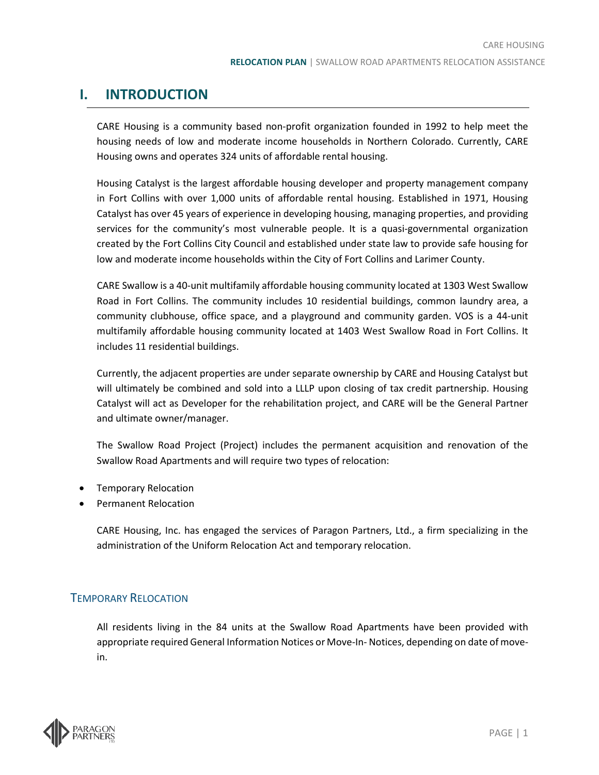# <span id="page-3-0"></span>**I. INTRODUCTION**

CARE Housing is a community based non-profit organization founded in 1992 to help meet the housing needs of low and moderate income households in Northern Colorado. Currently, CARE Housing owns and operates 324 units of affordable rental housing.

Housing Catalyst is the largest affordable housing developer and property management company in Fort Collins with over 1,000 units of affordable rental housing. Established in 1971, Housing Catalyst has over 45 years of experience in developing housing, managing properties, and providing services for the community's most vulnerable people. It is a quasi-governmental organization created by the Fort Collins City Council and established under state law to provide safe housing for low and moderate income households within the City of Fort Collins and Larimer County.

CARE Swallow is a 40-unit multifamily affordable housing community located at 1303 West Swallow Road in Fort Collins. The community includes 10 residential buildings, common laundry area, a community clubhouse, office space, and a playground and community garden. VOS is a 44-unit multifamily affordable housing community located at 1403 West Swallow Road in Fort Collins. It includes 11 residential buildings.

Currently, the adjacent properties are under separate ownership by CARE and Housing Catalyst but will ultimately be combined and sold into a LLLP upon closing of tax credit partnership. Housing Catalyst will act as Developer for the rehabilitation project, and CARE will be the General Partner and ultimate owner/manager.

The Swallow Road Project (Project) includes the permanent acquisition and renovation of the Swallow Road Apartments and will require two types of relocation:

- Temporary Relocation
- Permanent Relocation

CARE Housing, Inc. has engaged the services of Paragon Partners, Ltd., a firm specializing in the administration of the Uniform Relocation Act and temporary relocation.

### <span id="page-3-1"></span>TEMPORARY RELOCATION

All residents living in the 84 units at the Swallow Road Apartments have been provided with appropriate required General Information Notices or Move-In- Notices, depending on date of movein.

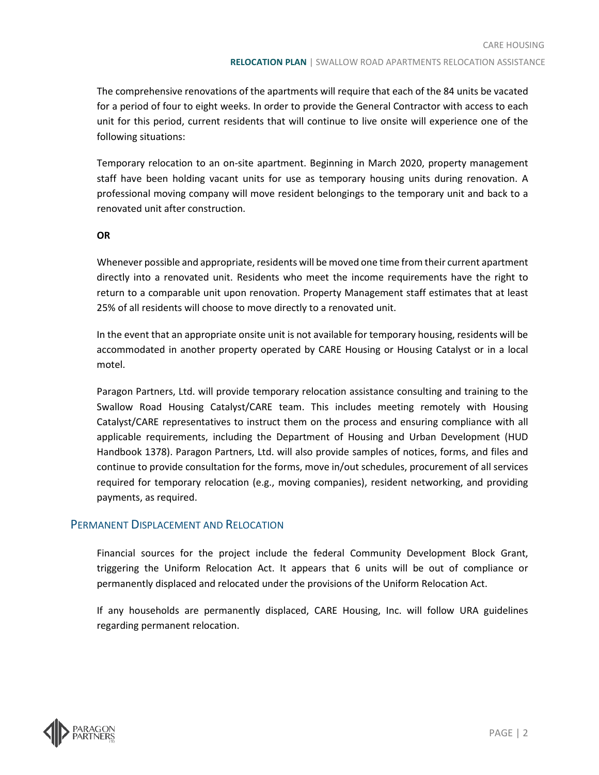The comprehensive renovations of the apartments will require that each of the 84 units be vacated for a period of four to eight weeks. In order to provide the General Contractor with access to each unit for this period, current residents that will continue to live onsite will experience one of the following situations:

Temporary relocation to an on-site apartment. Beginning in March 2020, property management staff have been holding vacant units for use as temporary housing units during renovation. A professional moving company will move resident belongings to the temporary unit and back to a renovated unit after construction.

#### **OR**

Whenever possible and appropriate, residents will be moved one time from their current apartment directly into a renovated unit. Residents who meet the income requirements have the right to return to a comparable unit upon renovation. Property Management staff estimates that at least 25% of all residents will choose to move directly to a renovated unit.

In the event that an appropriate onsite unit is not available for temporary housing, residents will be accommodated in another property operated by CARE Housing or Housing Catalyst or in a local motel.

Paragon Partners, Ltd. will provide temporary relocation assistance consulting and training to the Swallow Road Housing Catalyst/CARE team. This includes meeting remotely with Housing Catalyst/CARE representatives to instruct them on the process and ensuring compliance with all applicable requirements, including the Department of Housing and Urban Development (HUD Handbook 1378). Paragon Partners, Ltd. will also provide samples of notices, forms, and files and continue to provide consultation for the forms, move in/out schedules, procurement of all services required for temporary relocation (e.g., moving companies), resident networking, and providing payments, as required.

### <span id="page-4-0"></span>PERMANENT DISPLACEMENT AND RELOCATION

Financial sources for the project include the federal Community Development Block Grant, triggering the Uniform Relocation Act. It appears that 6 units will be out of compliance or permanently displaced and relocated under the provisions of the Uniform Relocation Act.

If any households are permanently displaced, CARE Housing, Inc. will follow URA guidelines regarding permanent relocation.

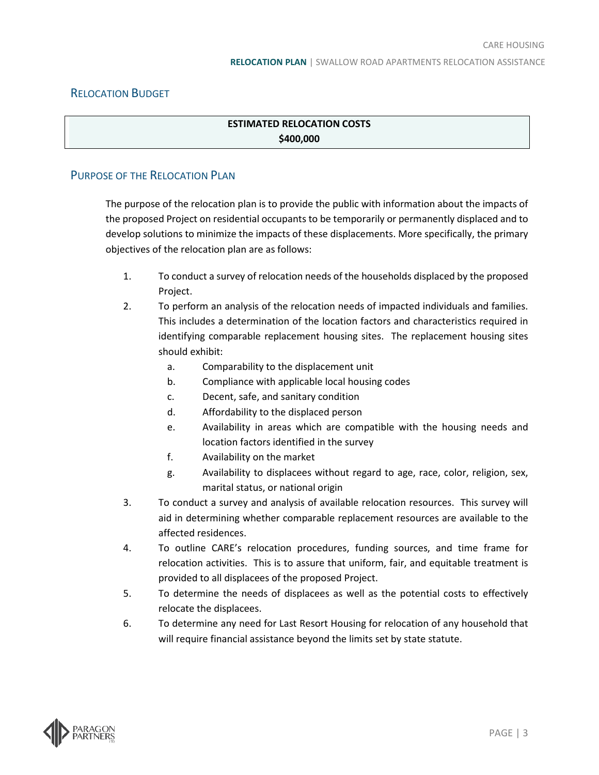### <span id="page-5-0"></span>RELOCATION BUDGET

### **ESTIMATED RELOCATION COSTS \$400,000**

### <span id="page-5-1"></span>PURPOSE OF THE RELOCATION PLAN

The purpose of the relocation plan is to provide the public with information about the impacts of the proposed Project on residential occupants to be temporarily or permanently displaced and to develop solutions to minimize the impacts of these displacements. More specifically, the primary objectives of the relocation plan are as follows:

- 1. To conduct a survey of relocation needs of the households displaced by the proposed Project.
- 2. To perform an analysis of the relocation needs of impacted individuals and families. This includes a determination of the location factors and characteristics required in identifying comparable replacement housing sites. The replacement housing sites should exhibit:
	- a. Comparability to the displacement unit
	- b. Compliance with applicable local housing codes
	- c. Decent, safe, and sanitary condition
	- d. Affordability to the displaced person
	- e. Availability in areas which are compatible with the housing needs and location factors identified in the survey
	- f. Availability on the market
	- g. Availability to displacees without regard to age, race, color, religion, sex, marital status, or national origin
- 3. To conduct a survey and analysis of available relocation resources. This survey will aid in determining whether comparable replacement resources are available to the affected residences.
- 4. To outline CARE's relocation procedures, funding sources, and time frame for relocation activities. This is to assure that uniform, fair, and equitable treatment is provided to all displacees of the proposed Project.
- 5. To determine the needs of displacees as well as the potential costs to effectively relocate the displacees.
- 6. To determine any need for Last Resort Housing for relocation of any household that will require financial assistance beyond the limits set by state statute.

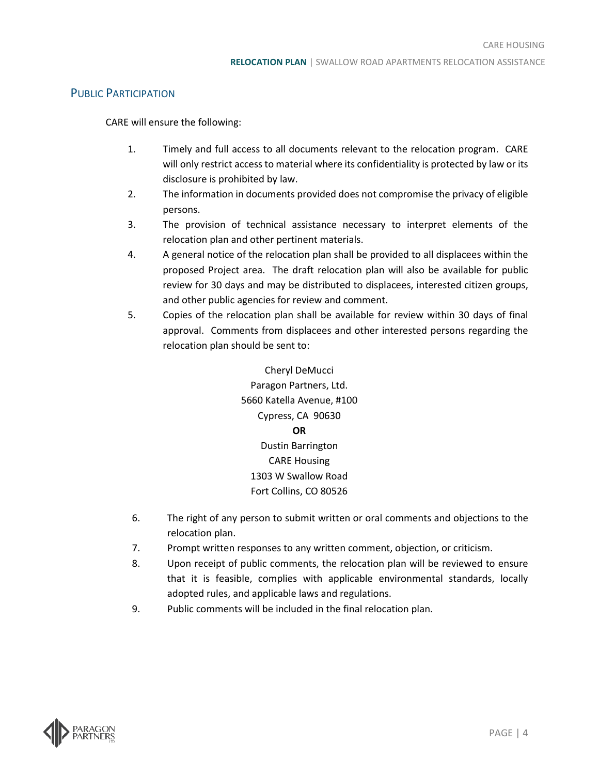### <span id="page-6-0"></span>PUBLIC PARTICIPATION

CARE will ensure the following:

- 1. Timely and full access to all documents relevant to the relocation program. CARE will only restrict access to material where its confidentiality is protected by law or its disclosure is prohibited by law.
- 2. The information in documents provided does not compromise the privacy of eligible persons.
- 3. The provision of technical assistance necessary to interpret elements of the relocation plan and other pertinent materials.
- 4. A general notice of the relocation plan shall be provided to all displacees within the proposed Project area. The draft relocation plan will also be available for public review for 30 days and may be distributed to displacees, interested citizen groups, and other public agencies for review and comment.
- 5. Copies of the relocation plan shall be available for review within 30 days of final approval. Comments from displacees and other interested persons regarding the relocation plan should be sent to:

Cheryl DeMucci Paragon Partners, Ltd. 5660 Katella Avenue, #100 Cypress, CA 90630 **OR** Dustin Barrington CARE Housing 1303 W Swallow Road Fort Collins, CO 80526

- 6. The right of any person to submit written or oral comments and objections to the relocation plan.
- 7. Prompt written responses to any written comment, objection, or criticism.
- 8. Upon receipt of public comments, the relocation plan will be reviewed to ensure that it is feasible, complies with applicable environmental standards, locally adopted rules, and applicable laws and regulations.
- 9. Public comments will be included in the final relocation plan.

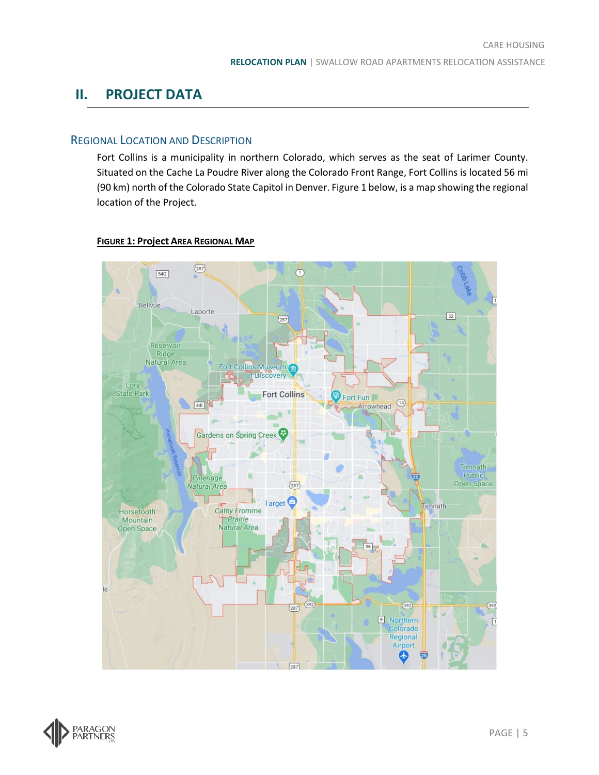# <span id="page-7-1"></span><span id="page-7-0"></span>**II. PROJECT DATA**

### REGIONAL LOCATION AND DESCRIPTION

Fort Collins is a municipality in northern Colorado, which serves as the seat of Larimer County. Situated on the Cache La Poudre River along the Colorado Front Range, Fort Collins is located 56 mi (90 km) north of the Colorado State Capitol in Denver. Figure 1 below, is a map showing the regional location of the Project.

#### $(287)$  $\bullet$  $54G$ Bellvue Laporte  $52\,$  $(287)$ Reservoir Ridge Natural Area Fort Collins Museum Lory State Park **Fort Collins P** Fort Fun  $\bigcirc$  $\bigcup$  441 Arrowhead Gardens on Spring Creek Timnath **Public** Pineridge Open Space Natural Area  $\left(\overline{287}\right)$ Target<sup>O</sup> Timnath Cathy Fromme Horsetooth Prairie Mountain Natural Area Open Space lë  $(392)$  $(392)$  $\left(\overline{287}\right)$ Morthern Regional Airport 4  $(287)$

### **FIGURE 1: Project AREA REGIONAL MAP**

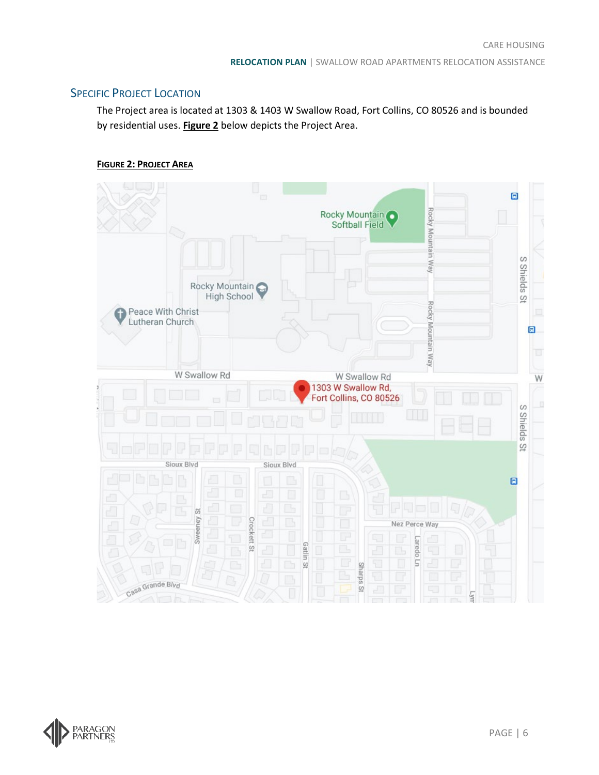### <span id="page-8-0"></span>**SPECIFIC PROJECT LOCATION**

The Project area is located at 1303 & 1403 W Swallow Road, Fort Collins, CO 80526 and is bounded by residential uses. **Figure 2** below depicts the Project Area.





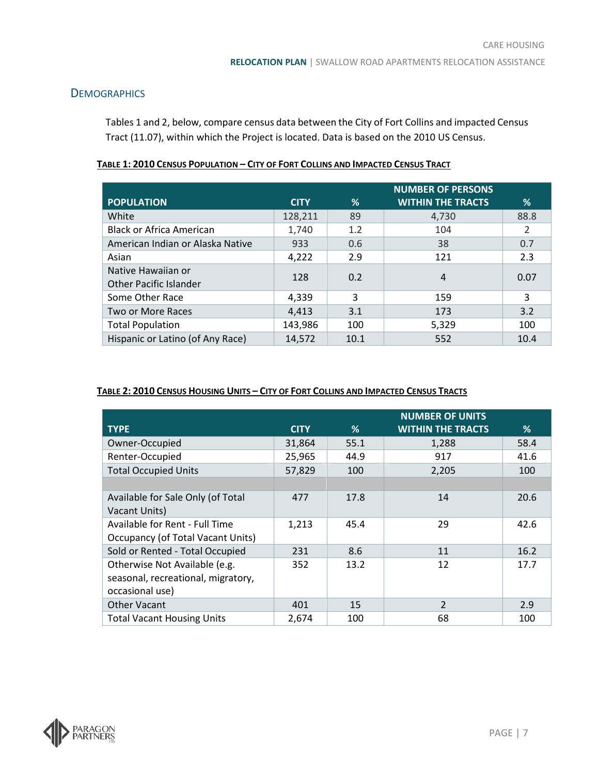### <span id="page-9-0"></span>**DEMOGRAPHICS**

Tables 1 and 2, below, compare census data between the City of Fort Collins and impacted Census Tract (11.07), within which the Project is located. Data is based on the 2010 US Census.

|                                  |             |      | <b>NUMBER OF PERSONS</b> |      |
|----------------------------------|-------------|------|--------------------------|------|
| <b>POPULATION</b>                | <b>CITY</b> | %    | <b>WITHIN THE TRACTS</b> | %    |
| White                            | 128,211     | 89   | 4,730                    | 88.8 |
| <b>Black or Africa American</b>  | 1,740       | 1.2  | 104                      | 2    |
| American Indian or Alaska Native | 933         | 0.6  | 38                       | 0.7  |
| Asian                            | 4,222       | 2.9  | 121                      | 2.3  |
| Native Hawaiian or               | 128         | 0.2  | 4                        | 0.07 |
| <b>Other Pacific Islander</b>    |             |      |                          |      |
| Some Other Race                  | 4,339       | 3    | 159                      | 3    |
| Two or More Races                | 4,413       | 3.1  | 173                      | 3.2  |
| <b>Total Population</b>          | 143,986     | 100  | 5,329                    | 100  |
| Hispanic or Latino (of Any Race) | 14,572      | 10.1 | 552                      | 10.4 |

#### **TABLE 1: 2010 CENSUS POPULATION – CITY OF FORT COLLINS AND IMPACTED CENSUS TRACT**

### **TABLE 2: 2010 CENSUS HOUSING UNITS – CITY OF FORT COLLINS AND IMPACTED CENSUS TRACTS**

|                                    |             |      | <b>NUMBER OF UNITS</b>   |      |
|------------------------------------|-------------|------|--------------------------|------|
| <b>TYPE</b>                        | <b>CITY</b> | %    | <b>WITHIN THE TRACTS</b> | %    |
| Owner-Occupied                     | 31,864      | 55.1 | 1,288                    | 58.4 |
| Renter-Occupied                    | 25,965      | 44.9 | 917                      | 41.6 |
| <b>Total Occupied Units</b>        | 57,829      | 100  | 2,205                    | 100  |
|                                    |             |      |                          |      |
| Available for Sale Only (of Total  | 477         | 17.8 | 14                       | 20.6 |
| Vacant Units)                      |             |      |                          |      |
| Available for Rent - Full Time     | 1,213       | 45.4 | 29                       | 42.6 |
| Occupancy (of Total Vacant Units)  |             |      |                          |      |
| Sold or Rented - Total Occupied    | 231         | 8.6  | 11                       | 16.2 |
| Otherwise Not Available (e.g.      | 352         | 13.2 | 12                       | 17.7 |
| seasonal, recreational, migratory, |             |      |                          |      |
| occasional use)                    |             |      |                          |      |
| <b>Other Vacant</b>                | 401         | 15   | $\mathcal{P}$            | 2.9  |
| <b>Total Vacant Housing Units</b>  | 2,674       | 100  | 68                       | 100  |

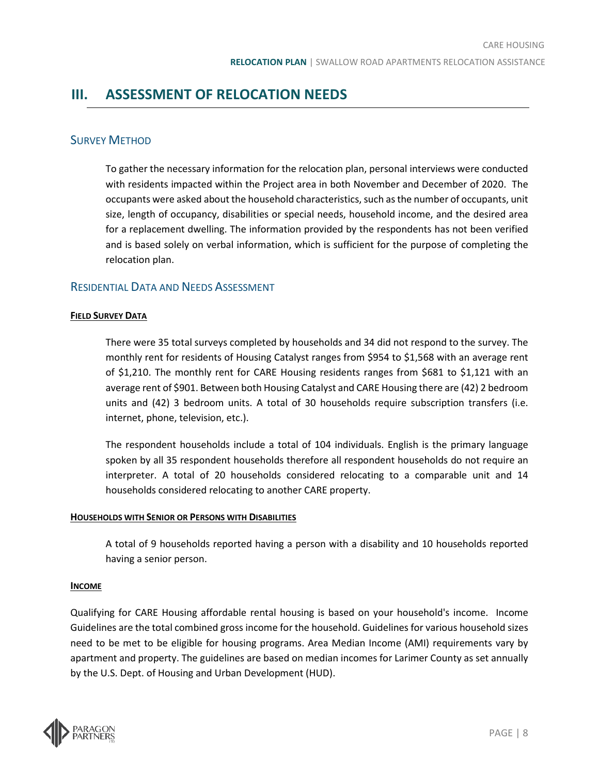## <span id="page-10-1"></span><span id="page-10-0"></span>**III. ASSESSMENT OF RELOCATION NEEDS**

### SURVEY METHOD

To gather the necessary information for the relocation plan, personal interviews were conducted with residents impacted within the Project area in both November and December of 2020. The occupants were asked about the household characteristics, such as the number of occupants, unit size, length of occupancy, disabilities or special needs, household income, and the desired area for a replacement dwelling. The information provided by the respondents has not been verified and is based solely on verbal information, which is sufficient for the purpose of completing the relocation plan.

### <span id="page-10-2"></span>RESIDENTIAL DATA AND NEEDS ASSESSMENT

#### <span id="page-10-3"></span>**FIELD SURVEY DATA**

There were 35 total surveys completed by households and 34 did not respond to the survey. The monthly rent for residents of Housing Catalyst ranges from \$954 to \$1,568 with an average rent of \$1,210. The monthly rent for CARE Housing residents ranges from \$681 to \$1,121 with an average rent of \$901. Between both Housing Catalyst and CARE Housing there are (42) 2 bedroom units and (42) 3 bedroom units. A total of 30 households require subscription transfers (i.e. internet, phone, television, etc.).

The respondent households include a total of 104 individuals. English is the primary language spoken by all 35 respondent households therefore all respondent households do not require an interpreter. A total of 20 households considered relocating to a comparable unit and 14 households considered relocating to another CARE property.

#### <span id="page-10-4"></span>**HOUSEHOLDS WITH SENIOR OR PERSONS WITH DISABILITIES**

A total of 9 households reported having a person with a disability and 10 households reported having a senior person.

#### <span id="page-10-5"></span>**INCOME**

Qualifying for CARE Housing affordable rental housing is based on your household's income. Income Guidelines are the total combined gross income for the household. Guidelines for various household sizes need to be met to be eligible for housing programs. Area Median Income (AMI) requirements vary by apartment and property. The guidelines are based on median incomes for Larimer County as set annually by the U.S. Dept. of Housing and Urban Development (HUD).

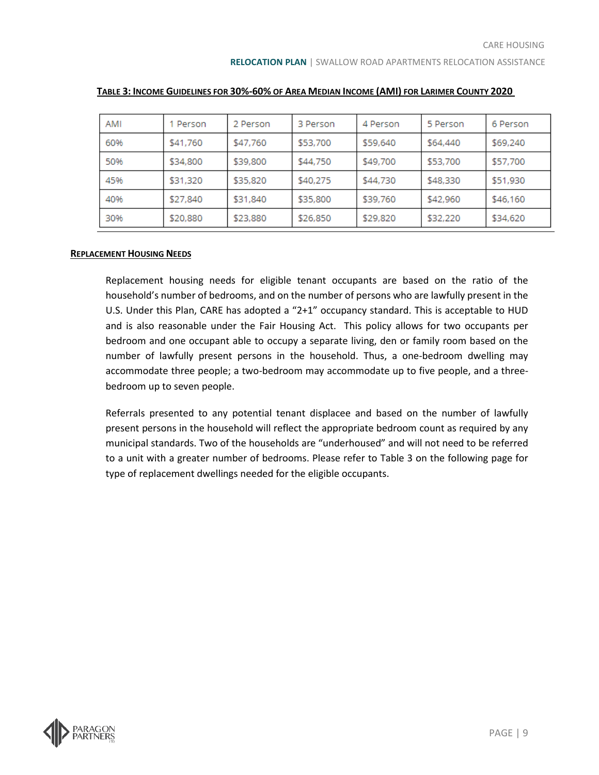| AMI | 1 Person | 2 Person | 3 Person | 4 Person | 5 Person | 6 Person |
|-----|----------|----------|----------|----------|----------|----------|
| 60% | \$41,760 | \$47,760 | \$53,700 | \$59,640 | \$64,440 | \$69,240 |
| 50% | \$34,800 | \$39,800 | \$44,750 | \$49,700 | \$53,700 | \$57,700 |
| 45% | \$31,320 | \$35,820 | \$40.275 | \$44.730 | \$48.330 | \$51,930 |
| 40% | \$27,840 | \$31,840 | \$35,800 | \$39,760 | \$42,960 | \$46,160 |
| 30% | \$20,880 | \$23,880 | \$26,850 | \$29,820 | \$32,220 | \$34,620 |

#### **TABLE 3: INCOME GUIDELINES FOR 30%-60% OF AREA MEDIAN INCOME (AMI) FOR LARIMER COUNTY 2020**

#### <span id="page-11-0"></span>**REPLACEMENT HOUSING NEEDS**

Replacement housing needs for eligible tenant occupants are based on the ratio of the household's number of bedrooms, and on the number of persons who are lawfully present in the U.S. Under this Plan, CARE has adopted a "2+1" occupancy standard. This is acceptable to HUD and is also reasonable under the Fair Housing Act. This policy allows for two occupants per bedroom and one occupant able to occupy a separate living, den or family room based on the number of lawfully present persons in the household. Thus, a one-bedroom dwelling may accommodate three people; a two-bedroom may accommodate up to five people, and a threebedroom up to seven people.

Referrals presented to any potential tenant displacee and based on the number of lawfully present persons in the household will reflect the appropriate bedroom count as required by any municipal standards. Two of the households are "underhoused" and will not need to be referred to a unit with a greater number of bedrooms. Please refer to Table 3 on the following page for type of replacement dwellings needed for the eligible occupants.

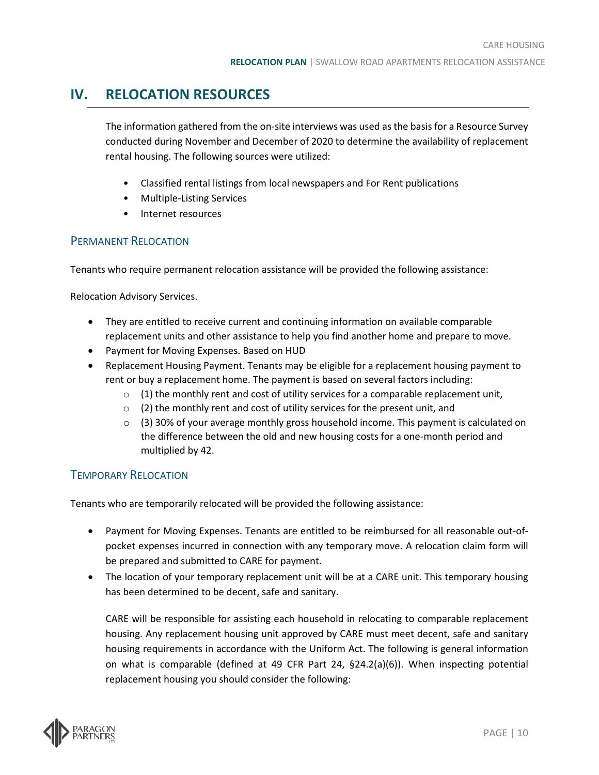# <span id="page-12-0"></span>**IV. RELOCATION RESOURCES**

The information gathered from the on-site interviews was used as the basis for a Resource Survey conducted during November and December of 2020 to determine the availability of replacement rental housing. The following sources were utilized:

- Classified rental listings from local newspapers and For Rent publications
- Multiple-Listing Services
- Internet resources

### <span id="page-12-1"></span>PERMANENT RELOCATION

Tenants who require permanent relocation assistance will be provided the following assistance:

Relocation Advisory Services.

- They are entitled to receive current and continuing information on available comparable replacement units and other assistance to help you find another home and prepare to move.
- Payment for Moving Expenses. Based on HUD
- Replacement Housing Payment. Tenants may be eligible for a replacement housing payment to rent or buy a replacement home. The payment is based on several factors including:
	- $\circ$  (1) the monthly rent and cost of utility services for a comparable replacement unit,
	- $\circ$  (2) the monthly rent and cost of utility services for the present unit, and
	- $\circ$  (3) 30% of your average monthly gross household income. This payment is calculated on the difference between the old and new housing costs for a one-month period and multiplied by 42.

### <span id="page-12-2"></span>TEMPORARY RELOCATION

Tenants who are temporarily relocated will be provided the following assistance:

- Payment for Moving Expenses. Tenants are entitled to be reimbursed for all reasonable out-ofpocket expenses incurred in connection with any temporary move. A relocation claim form will be prepared and submitted to CARE for payment.
- The location of your temporary replacement unit will be at a CARE unit. This temporary housing has been determined to be decent, safe and sanitary.

CARE will be responsible for assisting each household in relocating to comparable replacement housing. Any replacement housing unit approved by CARE must meet decent, safe and sanitary housing requirements in accordance with the Uniform Act. The following is general information on what is comparable (defined at 49 CFR Part 24, §24.2(a)(6)). When inspecting potential replacement housing you should consider the following:

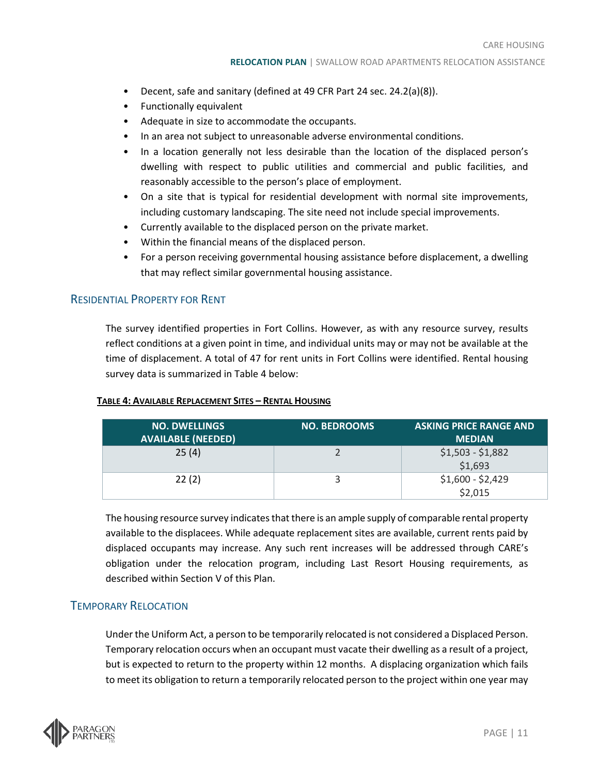- Decent, safe and sanitary (defined at 49 CFR Part 24 sec. 24.2(a)(8)).
- Functionally equivalent
- Adequate in size to accommodate the occupants.
- In an area not subject to unreasonable adverse environmental conditions.
- In a location generally not less desirable than the location of the displaced person's dwelling with respect to public utilities and commercial and public facilities, and reasonably accessible to the person's place of employment.
- On a site that is typical for residential development with normal site improvements, including customary landscaping. The site need not include special improvements.
- Currently available to the displaced person on the private market.
- Within the financial means of the displaced person.
- For a person receiving governmental housing assistance before displacement, a dwelling that may reflect similar governmental housing assistance.

### <span id="page-13-0"></span>RESIDENTIAL PROPERTY FOR RENT

The survey identified properties in Fort Collins. However, as with any resource survey, results reflect conditions at a given point in time, and individual units may or may not be available at the time of displacement. A total of 47 for rent units in Fort Collins were identified. Rental housing survey data is summarized in Table 4 below:

#### **TABLE 4: AVAILABLE REPLACEMENT SITES – RENTAL HOUSING**

| <b>NO. DWELLINGS</b><br><b>AVAILABLE (NEEDED)</b> | <b>NO. BEDROOMS</b> | <b>ASKING PRICE RANGE AND</b><br><b>MEDIAN</b> |
|---------------------------------------------------|---------------------|------------------------------------------------|
| 25(4)                                             |                     | $$1,503 - $1,882$<br>\$1,693                   |
| 22(2)                                             |                     | $$1,600 - $2,429$<br>\$2,015                   |

The housing resource survey indicates that there is an ample supply of comparable rental property available to the displacees. While adequate replacement sites are available, current rents paid by displaced occupants may increase. Any such rent increases will be addressed through CARE's obligation under the relocation program, including Last Resort Housing requirements, as described within Section V of this Plan.

### <span id="page-13-1"></span>TEMPORARY RELOCATION

Under the Uniform Act, a person to be temporarily relocated is not considered a Displaced Person. Temporary relocation occurs when an occupant must vacate their dwelling as a result of a project, but is expected to return to the property within 12 months. A displacing organization which fails to meet its obligation to return a temporarily relocated person to the project within one year may

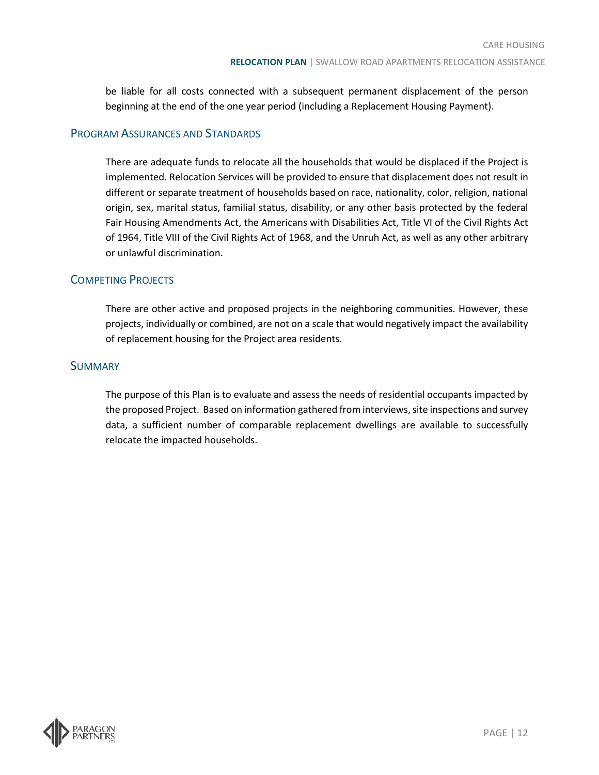be liable for all costs connected with a subsequent permanent displacement of the person beginning at the end of the one year period (including a Replacement Housing Payment).

### <span id="page-14-0"></span>PROGRAM ASSURANCES AND STANDARDS

There are adequate funds to relocate all the households that would be displaced if the Project is implemented. Relocation Services will be provided to ensure that displacement does not result in different or separate treatment of households based on race, nationality, color, religion, national origin, sex, marital status, familial status, disability, or any other basis protected by the federal Fair Housing Amendments Act, the Americans with Disabilities Act, Title VI of the Civil Rights Act of 1964, Title VIII of the Civil Rights Act of 1968, and the Unruh Act, as well as any other arbitrary or unlawful discrimination.

### <span id="page-14-1"></span>COMPETING PROJECTS

There are other active and proposed projects in the neighboring communities. However, these projects, individually or combined, are not on a scale that would negatively impact the availability of replacement housing for the Project area residents.

### <span id="page-14-2"></span>**SUMMARY**

The purpose of this Plan is to evaluate and assess the needs of residential occupants impacted by the proposed Project. Based on information gathered from interviews, site inspections and survey data, a sufficient number of comparable replacement dwellings are available to successfully relocate the impacted households.

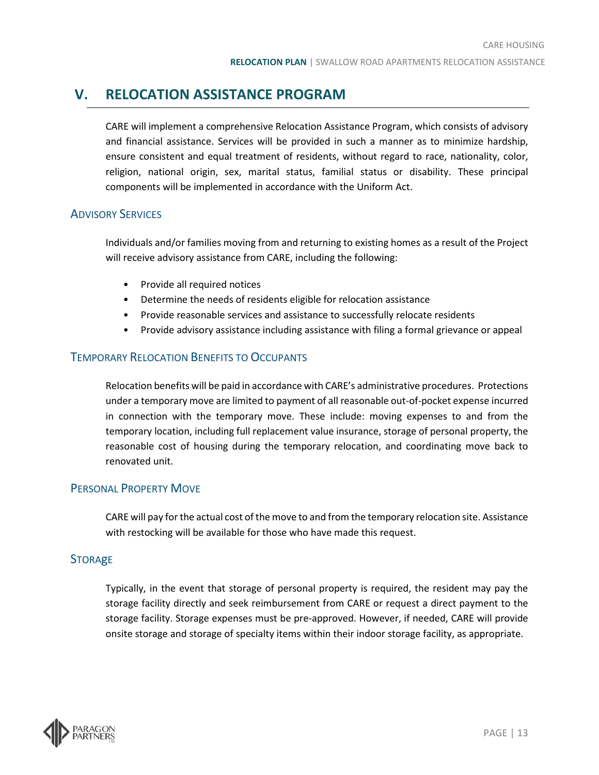# <span id="page-15-0"></span>**V. RELOCATION ASSISTANCE PROGRAM**

CARE will implement a comprehensive Relocation Assistance Program, which consists of advisory and financial assistance. Services will be provided in such a manner as to minimize hardship, ensure consistent and equal treatment of residents, without regard to race, nationality, color, religion, national origin, sex, marital status, familial status or disability. These principal components will be implemented in accordance with the Uniform Act.

### <span id="page-15-1"></span>ADVISORY SERVICES

Individuals and/or families moving from and returning to existing homes as a result of the Project will receive advisory assistance from CARE, including the following:

- Provide all required notices
- Determine the needs of residents eligible for relocation assistance
- Provide reasonable services and assistance to successfully relocate residents
- Provide advisory assistance including assistance with filing a formal grievance or appeal

### <span id="page-15-2"></span>TEMPORARY RELOCATION BENEFITS TO OCCUPANTS

Relocation benefits will be paid in accordance with CARE's administrative procedures. Protections under a temporary move are limited to payment of all reasonable out-of-pocket expense incurred in connection with the temporary move. These include: moving expenses to and from the temporary location, including full replacement value insurance, storage of personal property, the reasonable cost of housing during the temporary relocation, and coordinating move back to renovated unit.

### <span id="page-15-3"></span>PERSONAL PROPERTY MOVE

CARE will pay for the actual cost of the move to and from the temporary relocation site. Assistance with restocking will be available for those who have made this request.

### <span id="page-15-4"></span>**STORAGE**

Typically, in the event that storage of personal property is required, the resident may pay the storage facility directly and seek reimbursement from CARE or request a direct payment to the storage facility. Storage expenses must be pre-approved. However, if needed, CARE will provide onsite storage and storage of specialty items within their indoor storage facility, as appropriate.

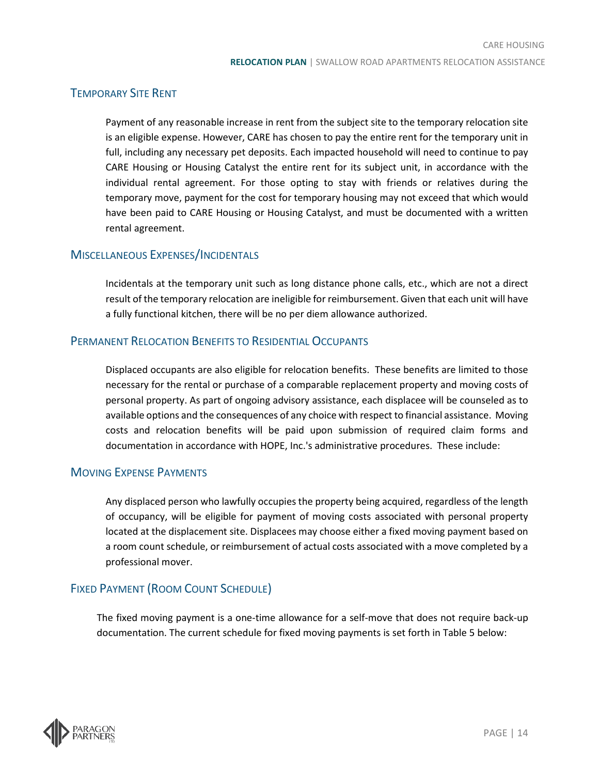### <span id="page-16-0"></span>TEMPORARY SITE RENT

Payment of any reasonable increase in rent from the subject site to the temporary relocation site is an eligible expense. However, CARE has chosen to pay the entire rent for the temporary unit in full, including any necessary pet deposits. Each impacted household will need to continue to pay CARE Housing or Housing Catalyst the entire rent for its subject unit, in accordance with the individual rental agreement. For those opting to stay with friends or relatives during the temporary move, payment for the cost for temporary housing may not exceed that which would have been paid to CARE Housing or Housing Catalyst, and must be documented with a written rental agreement.

### <span id="page-16-1"></span>MISCELLANEOUS EXPENSES/INCIDENTALS

Incidentals at the temporary unit such as long distance phone calls, etc., which are not a direct result of the temporary relocation are ineligible for reimbursement. Given that each unit will have a fully functional kitchen, there will be no per diem allowance authorized.

### <span id="page-16-2"></span>PERMANENT RELOCATION BENEFITS TO RESIDENTIAL OCCUPANTS

Displaced occupants are also eligible for relocation benefits. These benefits are limited to those necessary for the rental or purchase of a comparable replacement property and moving costs of personal property. As part of ongoing advisory assistance, each displacee will be counseled as to available options and the consequences of any choice with respect to financial assistance. Moving costs and relocation benefits will be paid upon submission of required claim forms and documentation in accordance with HOPE, Inc.'s administrative procedures. These include:

### <span id="page-16-3"></span>MOVING EXPENSE PAYMENTS

Any displaced person who lawfully occupies the property being acquired, regardless of the length of occupancy, will be eligible for payment of moving costs associated with personal property located at the displacement site. Displacees may choose either a fixed moving payment based on a room count schedule, or reimbursement of actual costs associated with a move completed by a professional mover.

### <span id="page-16-4"></span>FIXED PAYMENT (ROOM COUNT SCHEDULE)

The fixed moving payment is a one-time allowance for a self-move that does not require back-up documentation. The current schedule for fixed moving payments is set forth in Table 5 below:

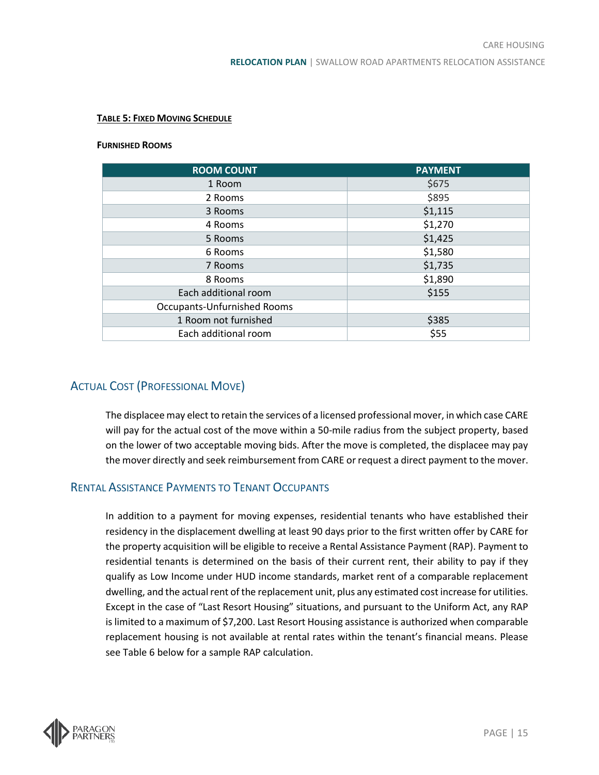#### **TABLE 5: FIXED MOVING SCHEDULE**

#### **FURNISHED ROOMS**

| <b>ROOM COUNT</b>                  | <b>PAYMENT</b> |
|------------------------------------|----------------|
| 1 Room                             | \$675          |
| 2 Rooms                            | \$895          |
| 3 Rooms                            | \$1,115        |
| 4 Rooms                            | \$1,270        |
| 5 Rooms                            | \$1,425        |
| 6 Rooms                            | \$1,580        |
| 7 Rooms                            | \$1,735        |
| \$1,890<br>8 Rooms                 |                |
| Each additional room               | \$155          |
| <b>Occupants-Unfurnished Rooms</b> |                |
| 1 Room not furnished               | \$385          |
| Each additional room               | \$55           |

### <span id="page-17-0"></span>ACTUAL COST (PROFESSIONAL MOVE)

The displacee may elect to retain the services of a licensed professional mover, in which case CARE will pay for the actual cost of the move within a 50-mile radius from the subject property, based on the lower of two acceptable moving bids. After the move is completed, the displacee may pay the mover directly and seek reimbursement from CARE or request a direct payment to the mover.

### <span id="page-17-1"></span>RENTAL ASSISTANCE PAYMENTS TO TENANT OCCUPANTS

In addition to a payment for moving expenses, residential tenants who have established their residency in the displacement dwelling at least 90 days prior to the first written offer by CARE for the property acquisition will be eligible to receive a Rental Assistance Payment (RAP). Payment to residential tenants is determined on the basis of their current rent, their ability to pay if they qualify as Low Income under HUD income standards, market rent of a comparable replacement dwelling, and the actual rent of the replacement unit, plus any estimated cost increase for utilities. Except in the case of "Last Resort Housing" situations, and pursuant to the Uniform Act, any RAP is limited to a maximum of \$7,200. Last Resort Housing assistance is authorized when comparable replacement housing is not available at rental rates within the tenant's financial means. Please see Table 6 below for a sample RAP calculation.

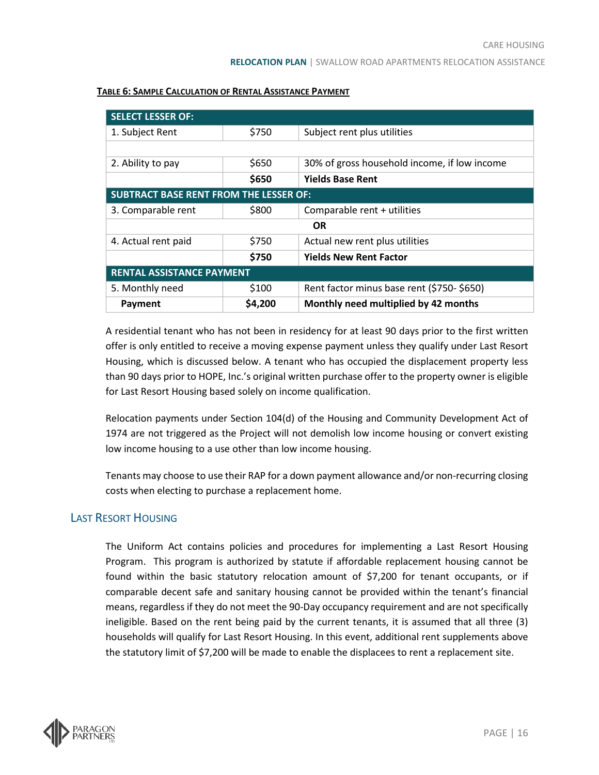| <b>SELECT LESSER OF:</b>                      |         |                                              |  |  |
|-----------------------------------------------|---------|----------------------------------------------|--|--|
| 1. Subject Rent                               | \$750   | Subject rent plus utilities                  |  |  |
|                                               |         |                                              |  |  |
| 2. Ability to pay                             | \$650   | 30% of gross household income, if low income |  |  |
|                                               | \$650   | <b>Yields Base Rent</b>                      |  |  |
| <b>SUBTRACT BASE RENT FROM THE LESSER OF:</b> |         |                                              |  |  |
| 3. Comparable rent                            | \$800   | Comparable rent + utilities                  |  |  |
| <b>OR</b>                                     |         |                                              |  |  |
| 4. Actual rent paid                           | \$750   | Actual new rent plus utilities               |  |  |
|                                               | \$750   | <b>Yields New Rent Factor</b>                |  |  |
| <b>RENTAL ASSISTANCE PAYMENT</b>              |         |                                              |  |  |
| 5. Monthly need                               | \$100   | Rent factor minus base rent (\$750-\$650)    |  |  |
| Payment                                       | \$4,200 | Monthly need multiplied by 42 months         |  |  |

#### **TABLE 6: SAMPLE CALCULATION OF RENTAL ASSISTANCE PAYMENT**

A residential tenant who has not been in residency for at least 90 days prior to the first written offer is only entitled to receive a moving expense payment unless they qualify under Last Resort Housing, which is discussed below. A tenant who has occupied the displacement property less than 90 days prior to HOPE, Inc.'s original written purchase offer to the property owner is eligible for Last Resort Housing based solely on income qualification.

Relocation payments under Section 104(d) of the Housing and Community Development Act of 1974 are not triggered as the Project will not demolish low income housing or convert existing low income housing to a use other than low income housing.

Tenants may choose to use their RAP for a down payment allowance and/or non-recurring closing costs when electing to purchase a replacement home.

### <span id="page-18-0"></span>LAST RESORT HOUSING

The Uniform Act contains policies and procedures for implementing a Last Resort Housing Program. This program is authorized by statute if affordable replacement housing cannot be found within the basic statutory relocation amount of \$7,200 for tenant occupants, or if comparable decent safe and sanitary housing cannot be provided within the tenant's financial means, regardless if they do not meet the 90-Day occupancy requirement and are not specifically ineligible. Based on the rent being paid by the current tenants, it is assumed that all three (3) households will qualify for Last Resort Housing. In this event, additional rent supplements above the statutory limit of \$7,200 will be made to enable the displacees to rent a replacement site.

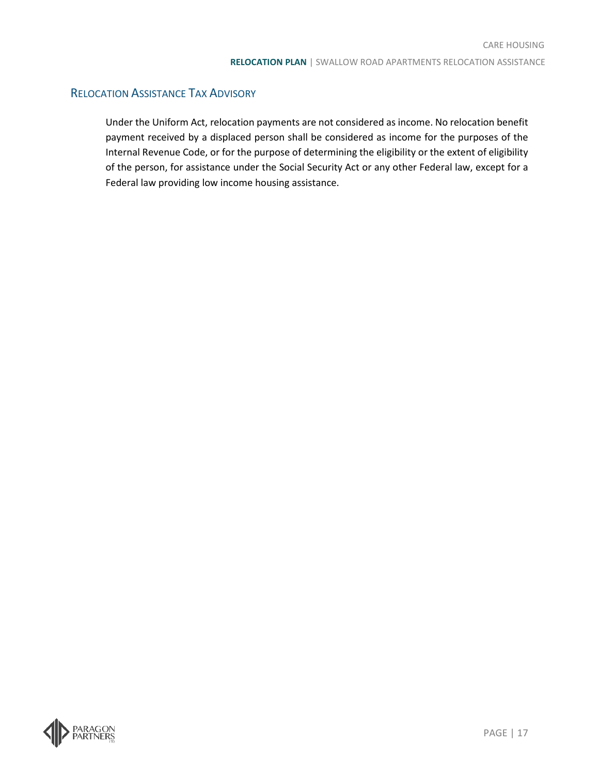### <span id="page-19-0"></span>RELOCATION ASSISTANCE TAX ADVISORY

Under the Uniform Act, relocation payments are not considered as income. No relocation benefit payment received by a displaced person shall be considered as income for the purposes of the Internal Revenue Code, or for the purpose of determining the eligibility or the extent of eligibility of the person, for assistance under the Social Security Act or any other Federal law, except for a Federal law providing low income housing assistance.

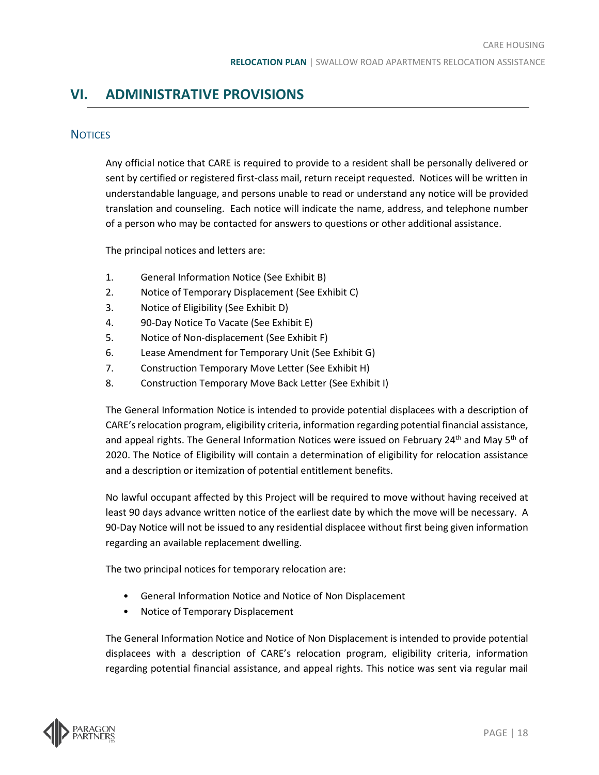# <span id="page-20-1"></span><span id="page-20-0"></span>**VI. ADMINISTRATIVE PROVISIONS**

### **NOTICES**

Any official notice that CARE is required to provide to a resident shall be personally delivered or sent by certified or registered first-class mail, return receipt requested. Notices will be written in understandable language, and persons unable to read or understand any notice will be provided translation and counseling. Each notice will indicate the name, address, and telephone number of a person who may be contacted for answers to questions or other additional assistance.

The principal notices and letters are:

- 1. General Information Notice (See Exhibit B)
- 2. Notice of Temporary Displacement (See Exhibit C)
- 3. Notice of Eligibility (See Exhibit D)
- 4. 90-Day Notice To Vacate (See Exhibit E)
- 5. Notice of Non-displacement (See Exhibit F)
- 6. Lease Amendment for Temporary Unit (See Exhibit G)
- 7. Construction Temporary Move Letter (See Exhibit H)
- 8. Construction Temporary Move Back Letter (See Exhibit I)

The General Information Notice is intended to provide potential displacees with a description of CARE's relocation program, eligibility criteria, information regarding potential financial assistance, and appeal rights. The General Information Notices were issued on February 24<sup>th</sup> and May 5<sup>th</sup> of 2020. The Notice of Eligibility will contain a determination of eligibility for relocation assistance and a description or itemization of potential entitlement benefits.

No lawful occupant affected by this Project will be required to move without having received at least 90 days advance written notice of the earliest date by which the move will be necessary. A 90-Day Notice will not be issued to any residential displacee without first being given information regarding an available replacement dwelling.

The two principal notices for temporary relocation are:

- General Information Notice and Notice of Non Displacement
- Notice of Temporary Displacement

The General Information Notice and Notice of Non Displacement is intended to provide potential displacees with a description of CARE's relocation program, eligibility criteria, information regarding potential financial assistance, and appeal rights. This notice was sent via regular mail

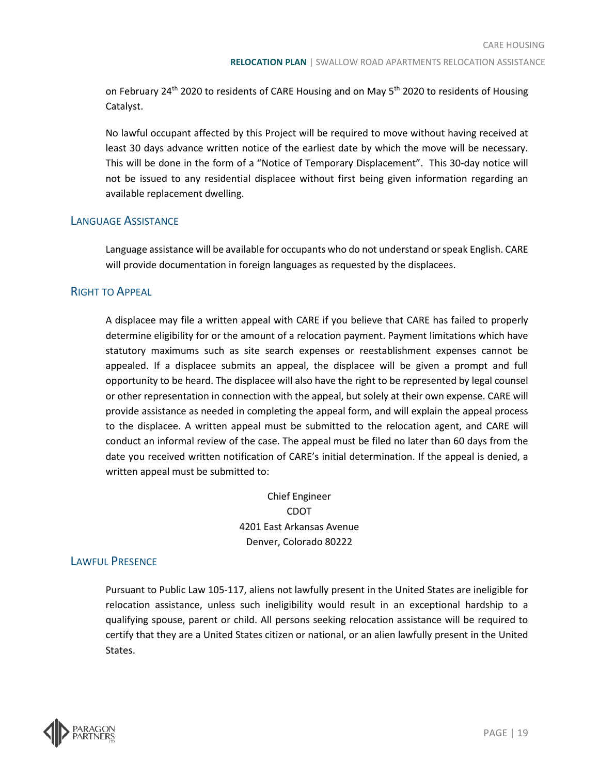on February 24<sup>th</sup> 2020 to residents of CARE Housing and on May 5<sup>th</sup> 2020 to residents of Housing Catalyst.

No lawful occupant affected by this Project will be required to move without having received at least 30 days advance written notice of the earliest date by which the move will be necessary. This will be done in the form of a "Notice of Temporary Displacement". This 30-day notice will not be issued to any residential displacee without first being given information regarding an available replacement dwelling.

### <span id="page-21-0"></span>LANGUAGE ASSISTANCE

Language assistance will be available for occupants who do not understand or speak English. CARE will provide documentation in foreign languages as requested by the displacees.

### <span id="page-21-1"></span>RIGHT TO APPEAL

A displacee may file a written appeal with CARE if you believe that CARE has failed to properly determine eligibility for or the amount of a relocation payment. Payment limitations which have statutory maximums such as site search expenses or reestablishment expenses cannot be appealed. If a displacee submits an appeal, the displacee will be given a prompt and full opportunity to be heard. The displacee will also have the right to be represented by legal counsel or other representation in connection with the appeal, but solely at their own expense. CARE will provide assistance as needed in completing the appeal form, and will explain the appeal process to the displacee. A written appeal must be submitted to the relocation agent, and CARE will conduct an informal review of the case. The appeal must be filed no later than 60 days from the date you received written notification of CARE's initial determination. If the appeal is denied, a written appeal must be submitted to:

> Chief Engineer CDOT 4201 East Arkansas Avenue Denver, Colorado 80222

### <span id="page-21-2"></span>LAWFUL PRESENCE

Pursuant to Public Law 105-117, aliens not lawfully present in the United States are ineligible for relocation assistance, unless such ineligibility would result in an exceptional hardship to a qualifying spouse, parent or child. All persons seeking relocation assistance will be required to certify that they are a United States citizen or national, or an alien lawfully present in the United States.

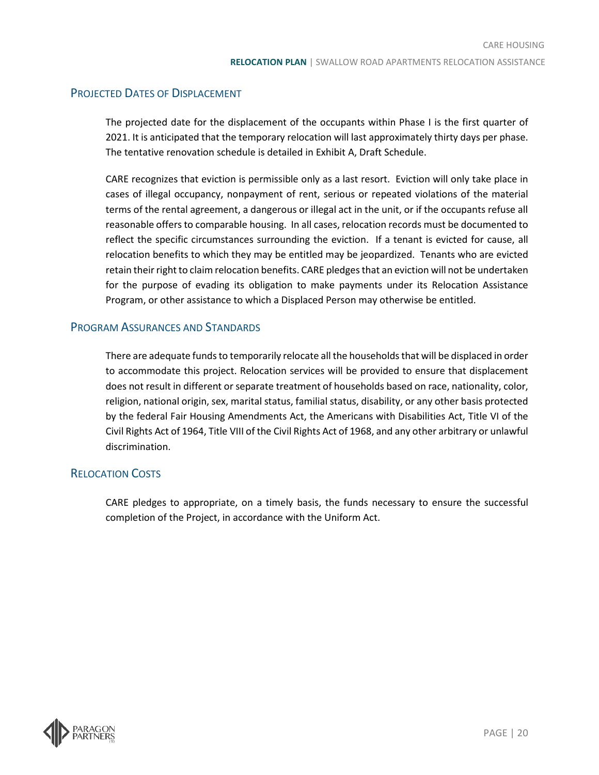### <span id="page-22-0"></span>PROJECTED DATES OF DISPLACEMENT

The projected date for the displacement of the occupants within Phase I is the first quarter of 2021. It is anticipated that the temporary relocation will last approximately thirty days per phase. The tentative renovation schedule is detailed in Exhibit A, Draft Schedule.

CARE recognizes that eviction is permissible only as a last resort. Eviction will only take place in cases of illegal occupancy, nonpayment of rent, serious or repeated violations of the material terms of the rental agreement, a dangerous or illegal act in the unit, or if the occupants refuse all reasonable offers to comparable housing. In all cases, relocation records must be documented to reflect the specific circumstances surrounding the eviction. If a tenant is evicted for cause, all relocation benefits to which they may be entitled may be jeopardized. Tenants who are evicted retain their right to claim relocation benefits. CARE pledges that an eviction will not be undertaken for the purpose of evading its obligation to make payments under its Relocation Assistance Program, or other assistance to which a Displaced Person may otherwise be entitled.

### <span id="page-22-1"></span>PROGRAM ASSURANCES AND STANDARDS

There are adequate funds to temporarily relocate all the households that will be displaced in order to accommodate this project. Relocation services will be provided to ensure that displacement does not result in different or separate treatment of households based on race, nationality, color, religion, national origin, sex, marital status, familial status, disability, or any other basis protected by the federal Fair Housing Amendments Act, the Americans with Disabilities Act, Title VI of the Civil Rights Act of 1964, Title VIII of the Civil Rights Act of 1968, and any other arbitrary or unlawful discrimination.

### <span id="page-22-2"></span>RELOCATION COSTS

CARE pledges to appropriate, on a timely basis, the funds necessary to ensure the successful completion of the Project, in accordance with the Uniform Act.

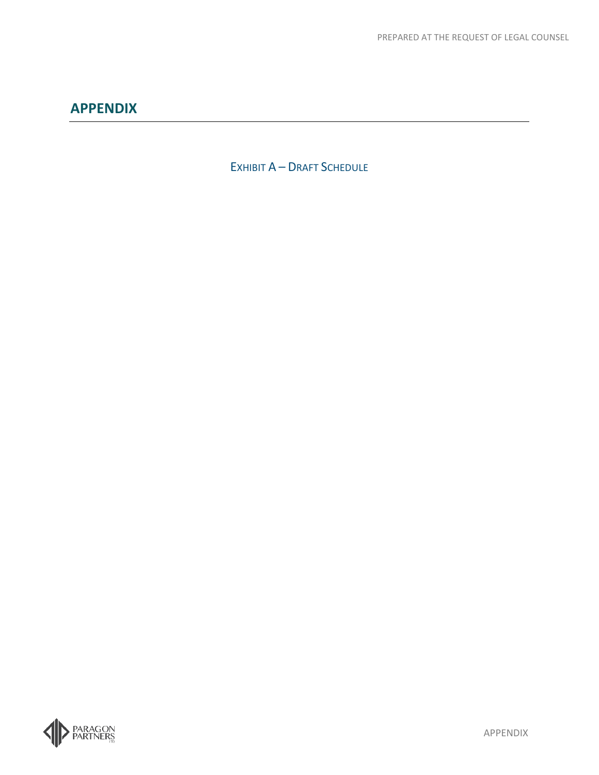<span id="page-23-1"></span><span id="page-23-0"></span>EXHIBIT A – DRAFT SCHEDULE

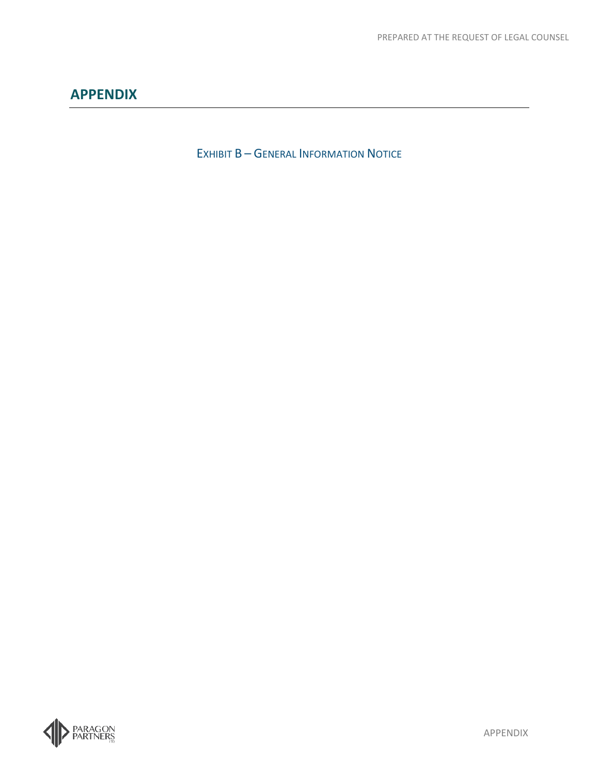<span id="page-24-0"></span>EXHIBIT **B** – GENERAL INFORMATION NOTICE

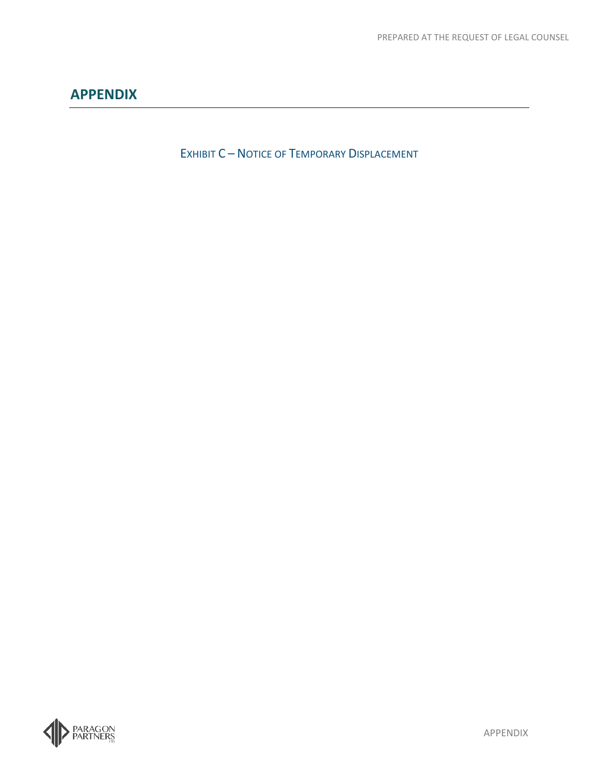<span id="page-25-0"></span>EXHIBIT C – NOTICE OF TEMPORARY DISPLACEMENT

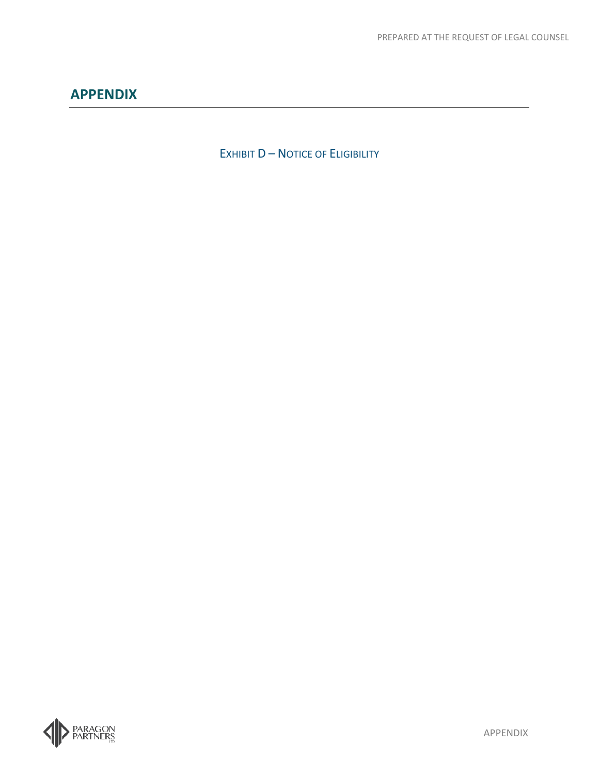<span id="page-26-0"></span>EXHIBIT **D** - NOTICE OF ELIGIBILITY

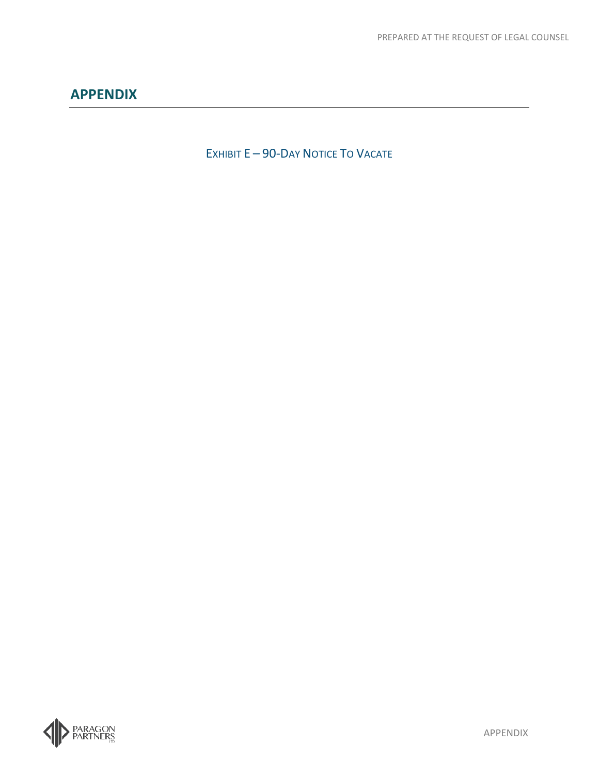<span id="page-27-0"></span>EXHIBIT E - 90-DAY NOTICE TO VACATE

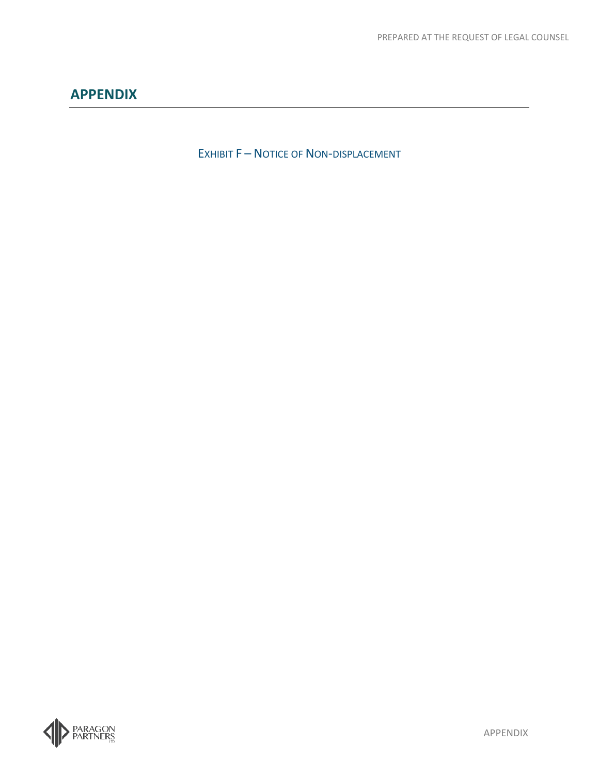<span id="page-28-0"></span>EXHIBIT F - NOTICE OF NON-DISPLACEMENT

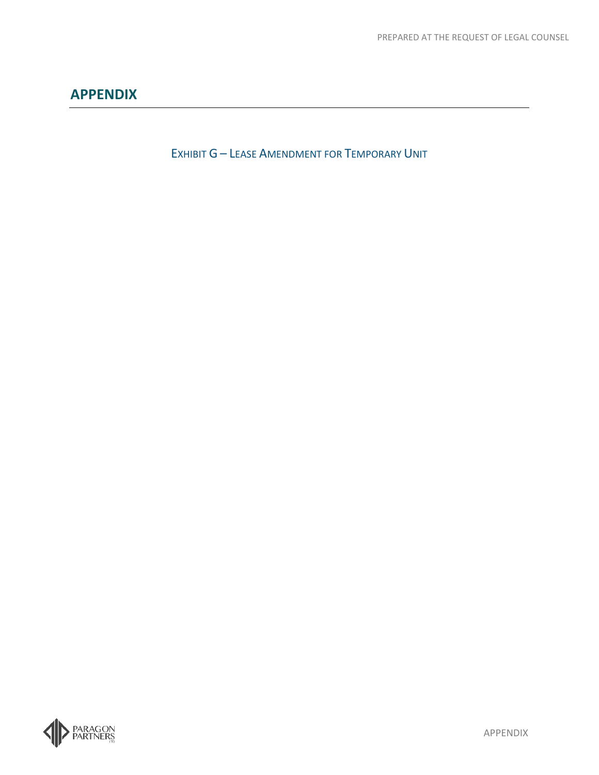<span id="page-29-0"></span>EXHIBIT G – LEASE AMENDMENT FOR TEMPORARY UNIT

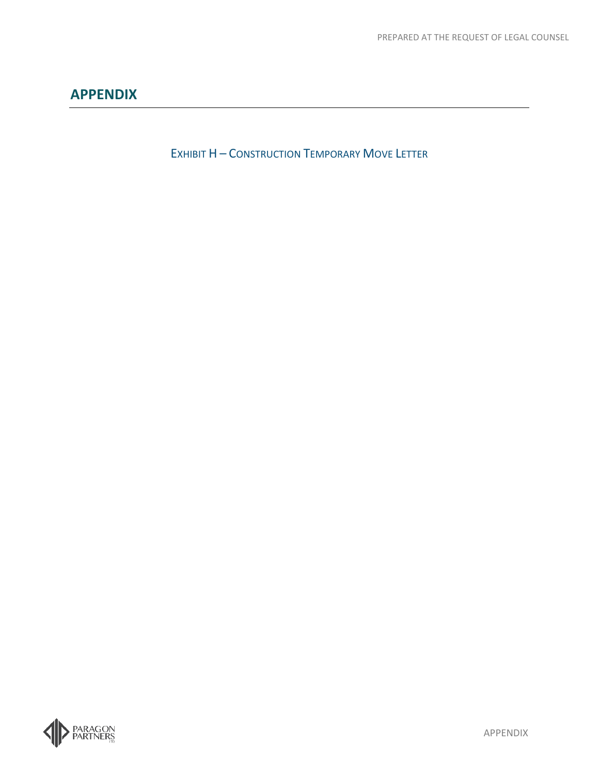<span id="page-30-0"></span>EXHIBIT H – CONSTRUCTION TEMPORARY MOVE LETTER